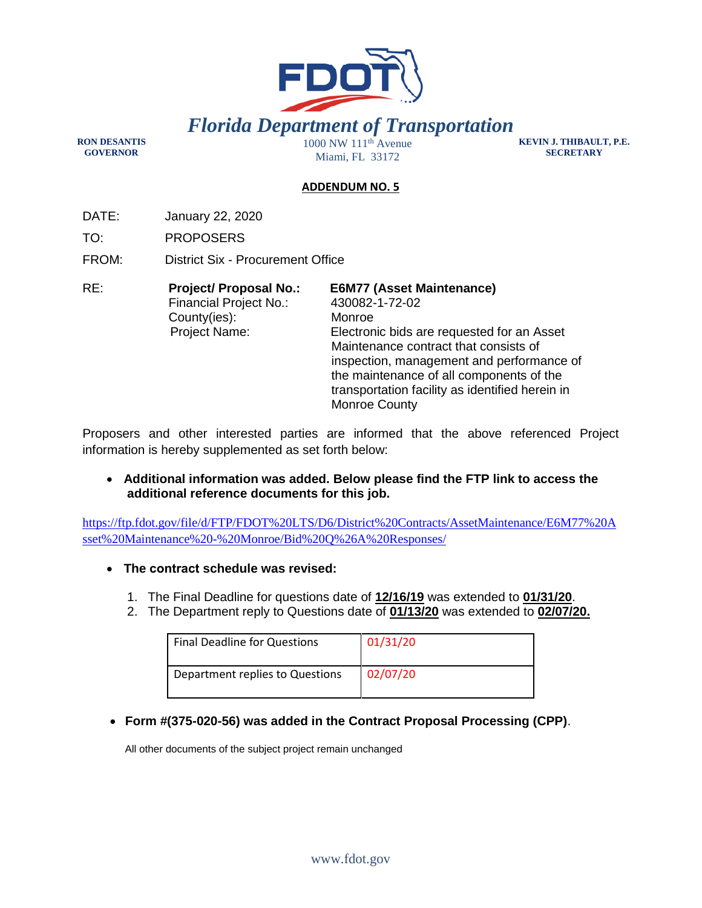

**RON DESANTIS GOVERNOR** 

Miami, FL 33172

**KEVIN J. THIBAULT, P.E. SECRETARY** 

## **ADDENDUM NO. 5**

DATE: January 22, 2020

TO: PROPOSERS

FROM: District Six - Procurement Office

| RE: | <b>Project/ Proposal No.:</b> | <b>E6M77 (Asset Maintenance)</b>                |  |
|-----|-------------------------------|-------------------------------------------------|--|
|     | Financial Project No.:        | 430082-1-72-02                                  |  |
|     | County(ies):                  | Monroe                                          |  |
|     | <b>Project Name:</b>          | Electronic bids are requested for an Asset      |  |
|     |                               | Maintenance contract that consists of           |  |
|     |                               | inspection, management and performance of       |  |
|     |                               | the maintenance of all components of the        |  |
|     |                               | transportation facility as identified herein in |  |
|     |                               | Monroe County                                   |  |

Proposers and other interested parties are informed that the above referenced Project information is hereby supplemented as set forth below:

 **Additional information was added. Below please find the FTP link to access the additional reference documents for this job.**

https://ftp.fdot.gov/file/d/FTP/FDOT%20LTS/D6/District%20Contracts/AssetMaintenance/E6M77%20A sset%20Maintenance%20-%20Monroe/Bid%20Q%26A%20Responses/

- **The contract schedule was revised:**
	- 1. The Final Deadline for questions date of **12/16/19** was extended to **01/31/20**.
	- 2. The Department reply to Questions date of **01/13/20** was extended to **02/07/20.**

| <b>Final Deadline for Questions</b> | 01/31/20 |
|-------------------------------------|----------|
| Department replies to Questions     | 02/07/20 |

**Form #(375-020-56) was added in the Contract Proposal Processing (CPP)**.

All other documents of the subject project remain unchanged